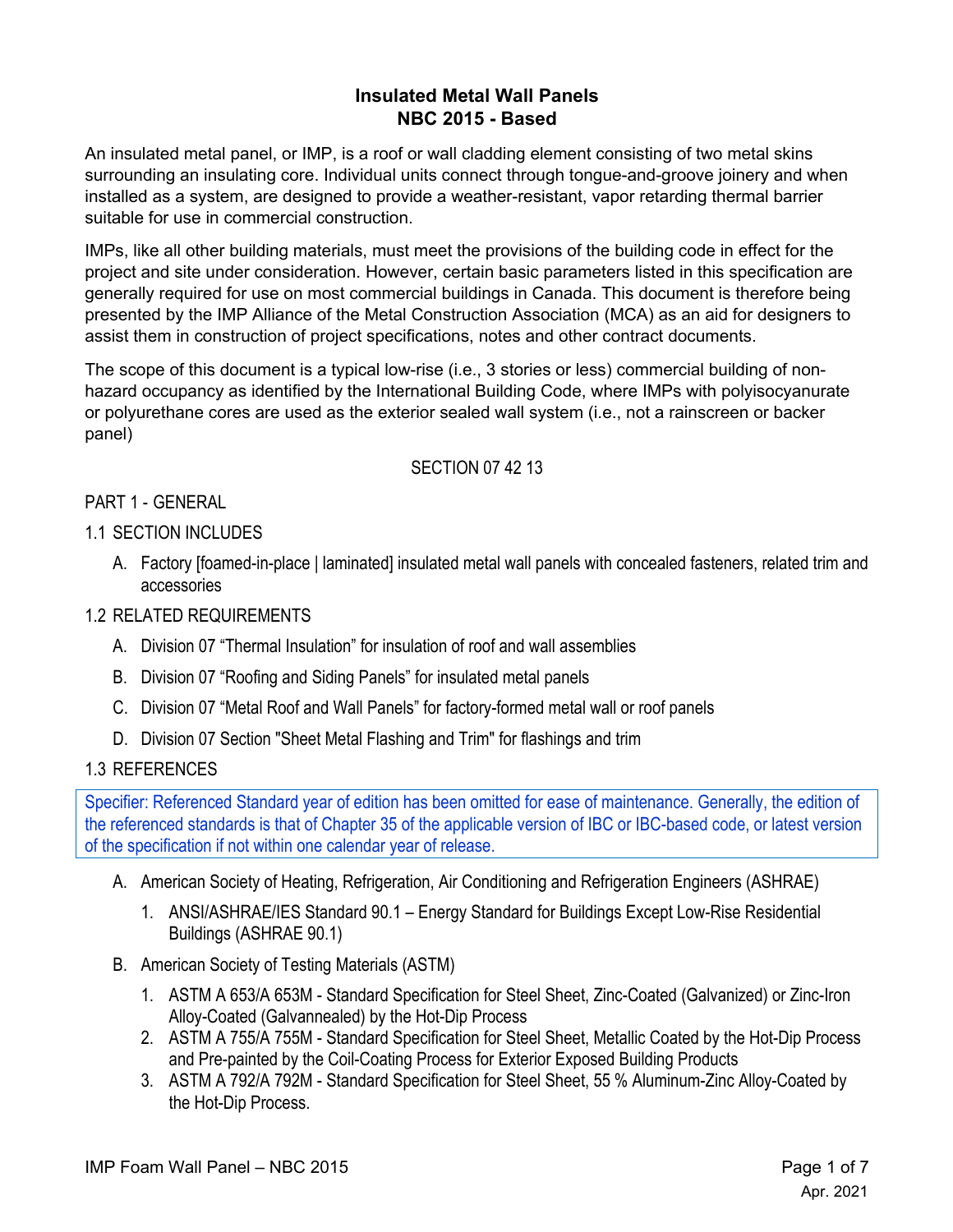# **Insulated Metal Wall Panels NBC 2015 - Based**

An insulated metal panel, or IMP, is a roof or wall cladding element consisting of two metal skins surrounding an insulating core. Individual units connect through tongue-and-groove joinery and when installed as a system, are designed to provide a weather-resistant, vapor retarding thermal barrier suitable for use in commercial construction.

IMPs, like all other building materials, must meet the provisions of the building code in effect for the project and site under consideration. However, certain basic parameters listed in this specification are generally required for use on most commercial buildings in Canada. This document is therefore being presented by the IMP Alliance of the Metal Construction Association (MCA) as an aid for designers to assist them in construction of project specifications, notes and other contract documents.

The scope of this document is a typical low-rise (i.e., 3 stories or less) commercial building of nonhazard occupancy as identified by the International Building Code, where IMPs with polyisocyanurate or polyurethane cores are used as the exterior sealed wall system (i.e., not a rainscreen or backer panel)

## SECTION 07 42 13

## PART 1 - GENERAL

### 1.1 SECTION INCLUDES

A. Factory [foamed-in-place | laminated] insulated metal wall panels with concealed fasteners, related trim and accessories

### 1.2 RELATED REQUIREMENTS

- A. Division 07 "Thermal Insulation" for insulation of roof and wall assemblies
- B. Division 07 "Roofing and Siding Panels" for insulated metal panels
- C. Division 07 "Metal Roof and Wall Panels" for factory-formed metal wall or roof panels
- D. Division 07 Section "Sheet Metal Flashing and Trim" for flashings and trim

### 1.3 REFERENCES

Specifier: Referenced Standard year of edition has been omitted for ease of maintenance. Generally, the edition of the referenced standards is that of Chapter 35 of the applicable version of IBC or IBC-based code, or latest version of the specification if not within one calendar year of release.

- A. American Society of Heating, Refrigeration, Air Conditioning and Refrigeration Engineers (ASHRAE)
	- 1. ANSI/ASHRAE/IES Standard 90.1 Energy Standard for Buildings Except Low-Rise Residential Buildings (ASHRAE 90.1)
- B. American Society of Testing Materials (ASTM)
	- 1. ASTM A 653/A 653M Standard Specification for Steel Sheet, Zinc-Coated (Galvanized) or Zinc-Iron Alloy-Coated (Galvannealed) by the Hot-Dip Process
	- 2. ASTM A 755/A 755M Standard Specification for Steel Sheet, Metallic Coated by the Hot-Dip Process and Pre-painted by the Coil-Coating Process for Exterior Exposed Building Products
	- 3. ASTM A 792/A 792M Standard Specification for Steel Sheet, 55 % Aluminum-Zinc Alloy-Coated by the Hot-Dip Process.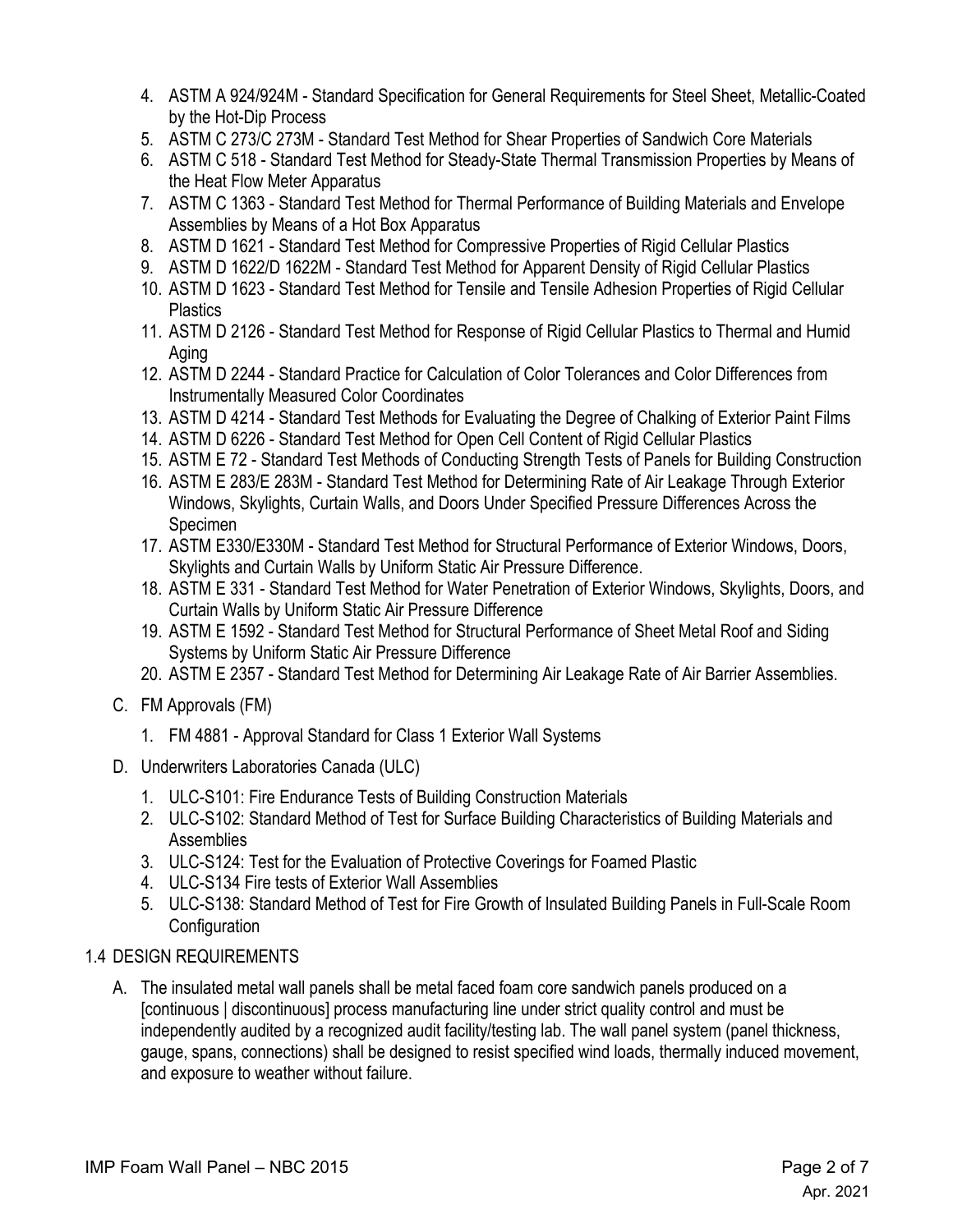- 4. ASTM A 924/924M Standard Specification for General Requirements for Steel Sheet, Metallic-Coated by the Hot-Dip Process
- 5. ASTM C 273/C 273M Standard Test Method for Shear Properties of Sandwich Core Materials
- 6. ASTM C 518 Standard Test Method for Steady-State Thermal Transmission Properties by Means of the Heat Flow Meter Apparatus
- 7. ASTM C 1363 Standard Test Method for Thermal Performance of Building Materials and Envelope Assemblies by Means of a Hot Box Apparatus
- 8. ASTM D 1621 Standard Test Method for Compressive Properties of Rigid Cellular Plastics
- 9. ASTM D 1622/D 1622M Standard Test Method for Apparent Density of Rigid Cellular Plastics
- 10. ASTM D 1623 Standard Test Method for Tensile and Tensile Adhesion Properties of Rigid Cellular **Plastics**
- 11. ASTM D 2126 Standard Test Method for Response of Rigid Cellular Plastics to Thermal and Humid Aging
- 12. ASTM D 2244 Standard Practice for Calculation of Color Tolerances and Color Differences from Instrumentally Measured Color Coordinates
- 13. ASTM D 4214 Standard Test Methods for Evaluating the Degree of Chalking of Exterior Paint Films
- 14. ASTM D 6226 Standard Test Method for Open Cell Content of Rigid Cellular Plastics
- 15. ASTM E 72 Standard Test Methods of Conducting Strength Tests of Panels for Building Construction
- 16. ASTM E 283/E 283M Standard Test Method for Determining Rate of Air Leakage Through Exterior Windows, Skylights, Curtain Walls, and Doors Under Specified Pressure Differences Across the **Specimen**
- 17. ASTM E330/E330M Standard Test Method for Structural Performance of Exterior Windows, Doors, Skylights and Curtain Walls by Uniform Static Air Pressure Difference.
- 18. ASTM E 331 Standard Test Method for Water Penetration of Exterior Windows, Skylights, Doors, and Curtain Walls by Uniform Static Air Pressure Difference
- 19. ASTM E 1592 Standard Test Method for Structural Performance of Sheet Metal Roof and Siding Systems by Uniform Static Air Pressure Difference
- 20. ASTM E 2357 Standard Test Method for Determining Air Leakage Rate of Air Barrier Assemblies.
- C. FM Approvals (FM)
	- 1. FM 4881 Approval Standard for Class 1 Exterior Wall Systems
- D. Underwriters Laboratories Canada (ULC)
	- 1. ULC-S101: Fire Endurance Tests of Building Construction Materials
	- 2. ULC-S102: Standard Method of Test for Surface Building Characteristics of Building Materials and **Assemblies**
	- 3. ULC-S124: Test for the Evaluation of Protective Coverings for Foamed Plastic
	- 4. ULC-S134 Fire tests of Exterior Wall Assemblies
	- 5. ULC-S138: Standard Method of Test for Fire Growth of Insulated Building Panels in Full-Scale Room **Configuration**

# 1.4 DESIGN REQUIREMENTS

A. The insulated metal wall panels shall be metal faced foam core sandwich panels produced on a [continuous | discontinuous] process manufacturing line under strict quality control and must be independently audited by a recognized audit facility/testing lab. The wall panel system (panel thickness, gauge, spans, connections) shall be designed to resist specified wind loads, thermally induced movement, and exposure to weather without failure.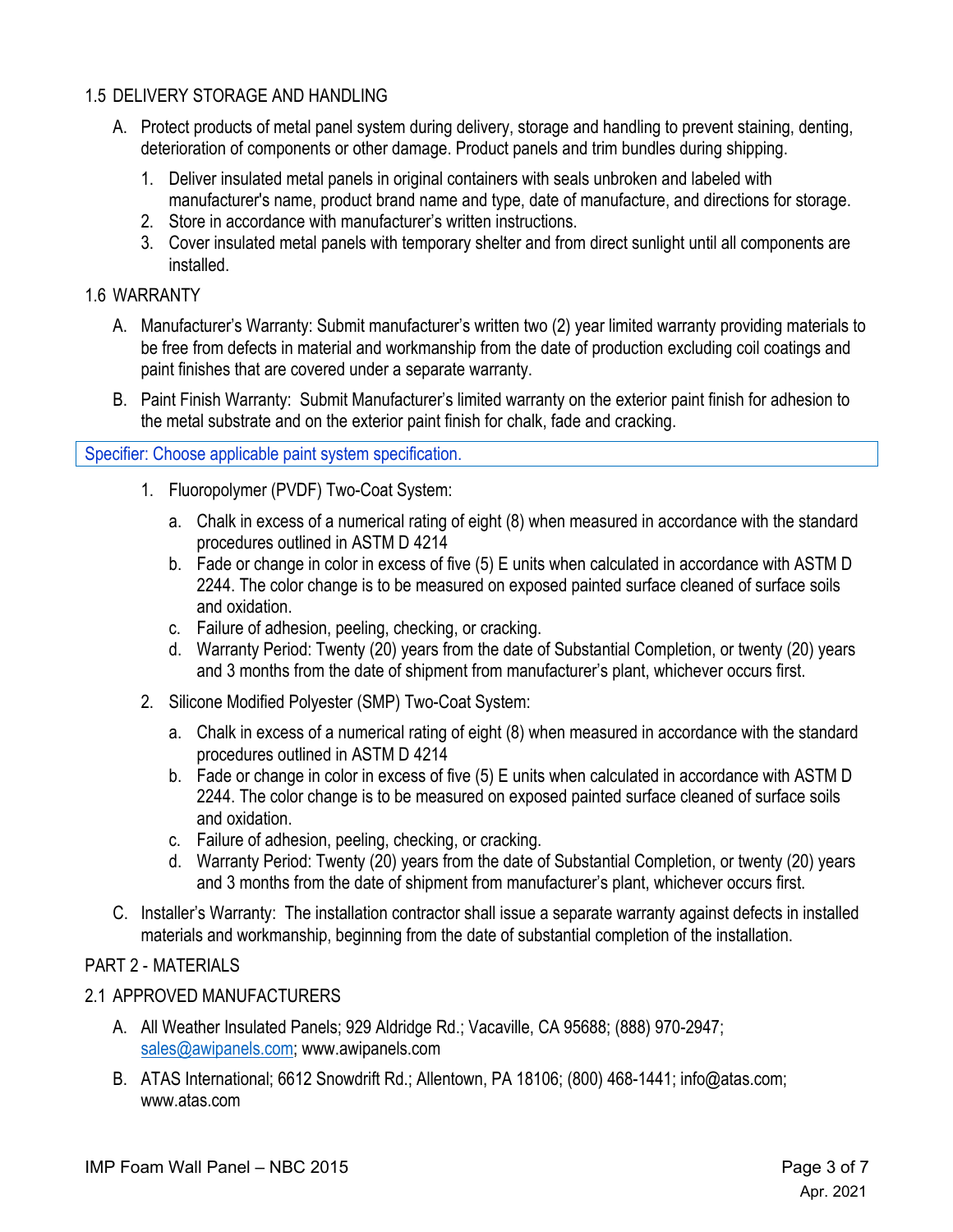## 1.5 DELIVERY STORAGE AND HANDLING

- A. Protect products of metal panel system during delivery, storage and handling to prevent staining, denting, deterioration of components or other damage. Product panels and trim bundles during shipping.
	- 1. Deliver insulated metal panels in original containers with seals unbroken and labeled with manufacturer's name, product brand name and type, date of manufacture, and directions for storage.
	- 2. Store in accordance with manufacturer's written instructions.
	- 3. Cover insulated metal panels with temporary shelter and from direct sunlight until all components are installed.

## 1.6 WARRANTY

- A. Manufacturer's Warranty: Submit manufacturer's written two (2) year limited warranty providing materials to be free from defects in material and workmanship from the date of production excluding coil coatings and paint finishes that are covered under a separate warranty.
- B. Paint Finish Warranty: Submit Manufacturer's limited warranty on the exterior paint finish for adhesion to the metal substrate and on the exterior paint finish for chalk, fade and cracking.

## Specifier: Choose applicable paint system specification.

- 1. Fluoropolymer (PVDF) Two-Coat System:
	- a. Chalk in excess of a numerical rating of eight (8) when measured in accordance with the standard procedures outlined in ASTM D 4214
	- b. Fade or change in color in excess of five (5) E units when calculated in accordance with ASTM D 2244. The color change is to be measured on exposed painted surface cleaned of surface soils and oxidation.
	- c. Failure of adhesion, peeling, checking, or cracking.
	- d. Warranty Period: Twenty (20) years from the date of Substantial Completion, or twenty (20) years and 3 months from the date of shipment from manufacturer's plant, whichever occurs first.
- 2. Silicone Modified Polyester (SMP) Two-Coat System:
	- a. Chalk in excess of a numerical rating of eight (8) when measured in accordance with the standard procedures outlined in ASTM D 4214
	- b. Fade or change in color in excess of five (5) E units when calculated in accordance with ASTM D 2244. The color change is to be measured on exposed painted surface cleaned of surface soils and oxidation.
	- c. Failure of adhesion, peeling, checking, or cracking.
	- d. Warranty Period: Twenty (20) years from the date of Substantial Completion, or twenty (20) years and 3 months from the date of shipment from manufacturer's plant, whichever occurs first.
- C. Installer's Warranty: The installation contractor shall issue a separate warranty against defects in installed materials and workmanship, beginning from the date of substantial completion of the installation.

# PART 2 - MATERIALS

### 2.1 APPROVED MANUFACTURERS

- A. All Weather Insulated Panels; 929 Aldridge Rd.; Vacaville, CA 95688; (888) 970-2947; sales@awipanels.com; www.awipanels.com
- B. ATAS International; 6612 Snowdrift Rd.; Allentown, PA 18106; (800) 468-1441; info@atas.com; www.atas.com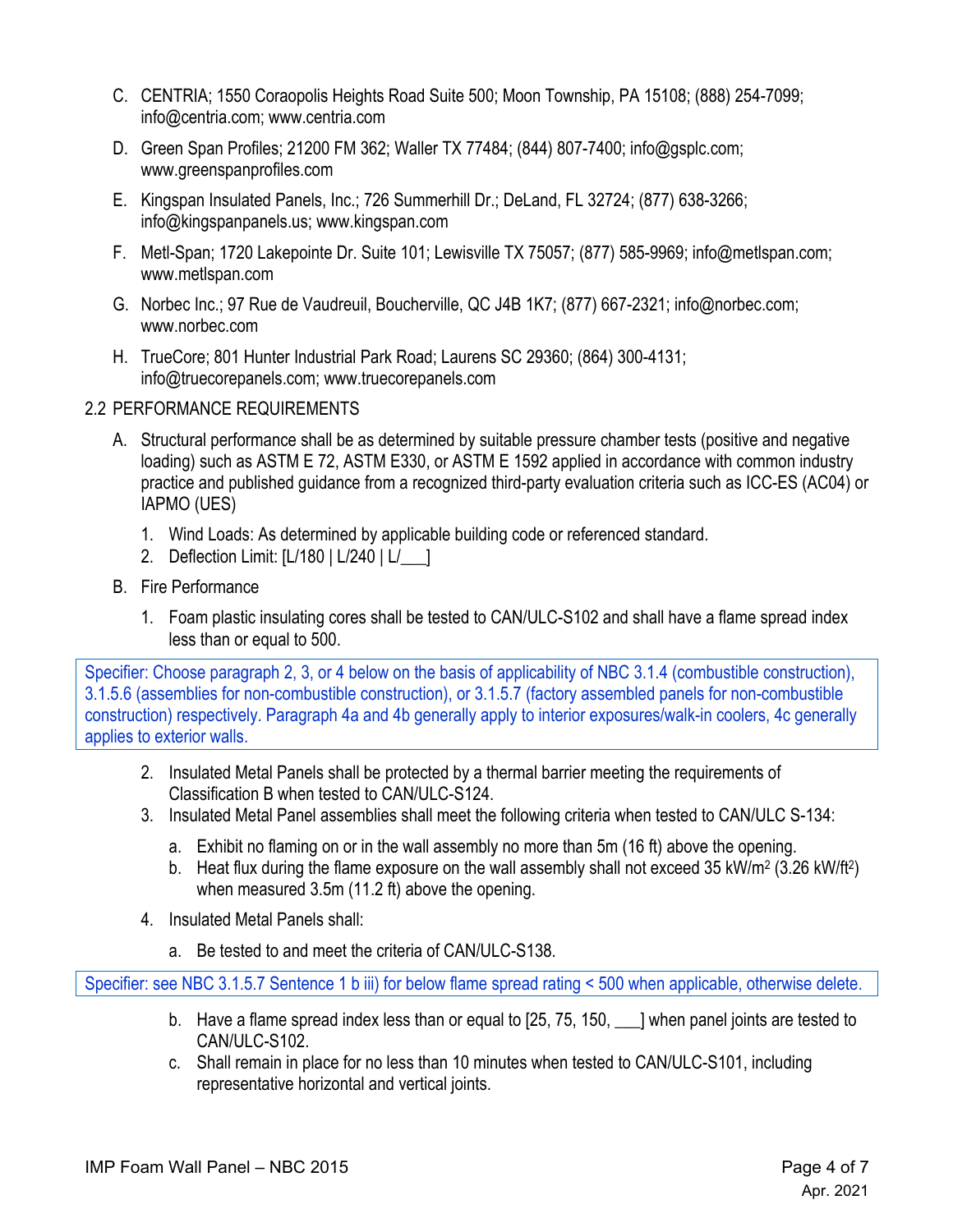- C. CENTRIA; 1550 Coraopolis Heights Road Suite 500; Moon Township, PA 15108; (888) 254-7099; info@centria.com; www.centria.com
- D. Green Span Profiles; 21200 FM 362; Waller TX 77484; (844) 807-7400; info@gsplc.com; www.greenspanprofiles.com
- E. Kingspan Insulated Panels, Inc.; 726 Summerhill Dr.; DeLand, FL 32724; (877) 638-3266; info@kingspanpanels.us; www.kingspan.com
- F. Metl-Span; 1720 Lakepointe Dr. Suite 101; Lewisville TX 75057; (877) 585-9969; info@metlspan.com; www.metlspan.com
- G. Norbec Inc.; 97 Rue de Vaudreuil, Boucherville, QC J4B 1K7; (877) 667-2321; info@norbec.com; www.norbec.com
- H. TrueCore; 801 Hunter Industrial Park Road; Laurens SC 29360; (864) 300-4131; info@truecorepanels.com; www.truecorepanels.com

## 2.2 PERFORMANCE REQUIREMENTS

- A. Structural performance shall be as determined by suitable pressure chamber tests (positive and negative loading) such as ASTM E 72, ASTM E330, or ASTM E 1592 applied in accordance with common industry practice and published guidance from a recognized third-party evaluation criteria such as ICC-ES (AC04) or IAPMO (UES)
	- 1. Wind Loads: As determined by applicable building code or referenced standard.
	- 2. Deflection Limit: [L/180 | L/240 | L/\_\_\_]
- B. Fire Performance
	- 1. Foam plastic insulating cores shall be tested to CAN/ULC-S102 and shall have a flame spread index less than or equal to 500.

Specifier: Choose paragraph 2, 3, or 4 below on the basis of applicability of NBC 3.1.4 (combustible construction), 3.1.5.6 (assemblies for non-combustible construction), or 3.1.5.7 (factory assembled panels for non-combustible construction) respectively. Paragraph 4a and 4b generally apply to interior exposures/walk-in coolers, 4c generally applies to exterior walls.

- 2. Insulated Metal Panels shall be protected by a thermal barrier meeting the requirements of Classification B when tested to CAN/ULC-S124.
- 3. Insulated Metal Panel assemblies shall meet the following criteria when tested to CAN/ULC S-134:
	- a. Exhibit no flaming on or in the wall assembly no more than 5m (16 ft) above the opening.
	- b. Heat flux during the flame exposure on the wall assembly shall not exceed 35 kW/m<sup>2</sup> (3.26 kW/ft<sup>2</sup>) when measured 3.5m (11.2 ft) above the opening.
- 4. Insulated Metal Panels shall:
	- a. Be tested to and meet the criteria of CAN/ULC-S138.

Specifier: see NBC 3.1.5.7 Sentence 1 b iii) for below flame spread rating < 500 when applicable, otherwise delete.

- b. Have a flame spread index less than or equal to [25, 75, 150, ] when panel joints are tested to CAN/ULC-S102.
- c. Shall remain in place for no less than 10 minutes when tested to CAN/ULC-S101, including representative horizontal and vertical joints.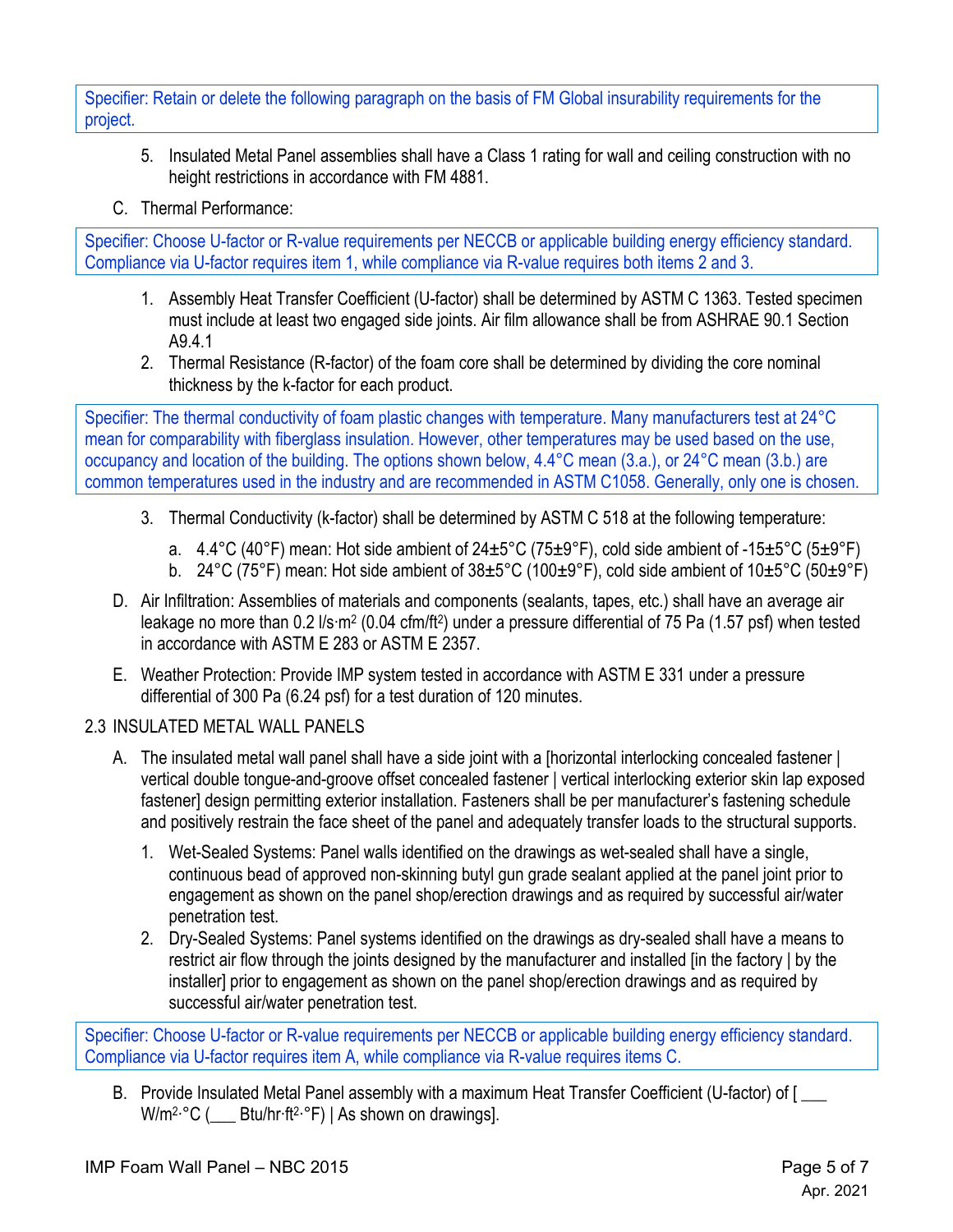Specifier: Retain or delete the following paragraph on the basis of FM Global insurability requirements for the project.

- 5. Insulated Metal Panel assemblies shall have a Class 1 rating for wall and ceiling construction with no height restrictions in accordance with FM 4881.
- C. Thermal Performance:

Specifier: Choose U-factor or R-value requirements per NECCB or applicable building energy efficiency standard. Compliance via U-factor requires item 1, while compliance via R-value requires both items 2 and 3.

- 1. Assembly Heat Transfer Coefficient (U-factor) shall be determined by ASTM C 1363. Tested specimen must include at least two engaged side joints. Air film allowance shall be from ASHRAE 90.1 Section A9.4.1
- 2. Thermal Resistance (R-factor) of the foam core shall be determined by dividing the core nominal thickness by the k-factor for each product.

Specifier: The thermal conductivity of foam plastic changes with temperature. Many manufacturers test at 24°C mean for comparability with fiberglass insulation. However, other temperatures may be used based on the use, occupancy and location of the building. The options shown below, 4.4°C mean (3.a.), or 24°C mean (3.b.) are common temperatures used in the industry and are recommended in ASTM C1058. Generally, only one is chosen.

- 3. Thermal Conductivity (k-factor) shall be determined by ASTM C 518 at the following temperature:
	- a.  $4.4^{\circ}$ C (40 $^{\circ}$ F) mean: Hot side ambient of 24 $\pm$ 5 $^{\circ}$ C (75 $\pm$ 9 $^{\circ}$ F), cold side ambient of -15 $\pm$ 5 $^{\circ}$ C (5 $\pm$ 9 $^{\circ}$ F)
	- b. 24°C (75°F) mean: Hot side ambient of 38±5°C (100±9°F), cold side ambient of 10±5°C (50±9°F)
- D. Air Infiltration: Assemblies of materials and components (sealants, tapes, etc.) shall have an average air leakage no more than 0.2 l/s·m2 (0.04 cfm/ft2) under a pressure differential of 75 Pa (1.57 psf) when tested in accordance with ASTM E 283 or ASTM E 2357.
- E. Weather Protection: Provide IMP system tested in accordance with ASTM E 331 under a pressure differential of 300 Pa (6.24 psf) for a test duration of 120 minutes.
- 2.3 INSULATED METAL WALL PANELS
	- A. The insulated metal wall panel shall have a side joint with a [horizontal interlocking concealed fastener | vertical double tongue-and-groove offset concealed fastener | vertical interlocking exterior skin lap exposed fastener] design permitting exterior installation. Fasteners shall be per manufacturer's fastening schedule and positively restrain the face sheet of the panel and adequately transfer loads to the structural supports.
		- 1. Wet-Sealed Systems: Panel walls identified on the drawings as wet-sealed shall have a single, continuous bead of approved non-skinning butyl gun grade sealant applied at the panel joint prior to engagement as shown on the panel shop/erection drawings and as required by successful air/water penetration test.
		- 2. Dry-Sealed Systems: Panel systems identified on the drawings as dry-sealed shall have a means to restrict air flow through the joints designed by the manufacturer and installed [in the factory | by the installer] prior to engagement as shown on the panel shop/erection drawings and as required by successful air/water penetration test.

Specifier: Choose U-factor or R-value requirements per NECCB or applicable building energy efficiency standard. Compliance via U-factor requires item A, while compliance via R-value requires items C.

B. Provide Insulated Metal Panel assembly with a maximum Heat Transfer Coefficient (U-factor) of [ \_\_\_  $W/m^2 °C$  (  $Btu/hr·ft^2·°F$ ) | As shown on drawings].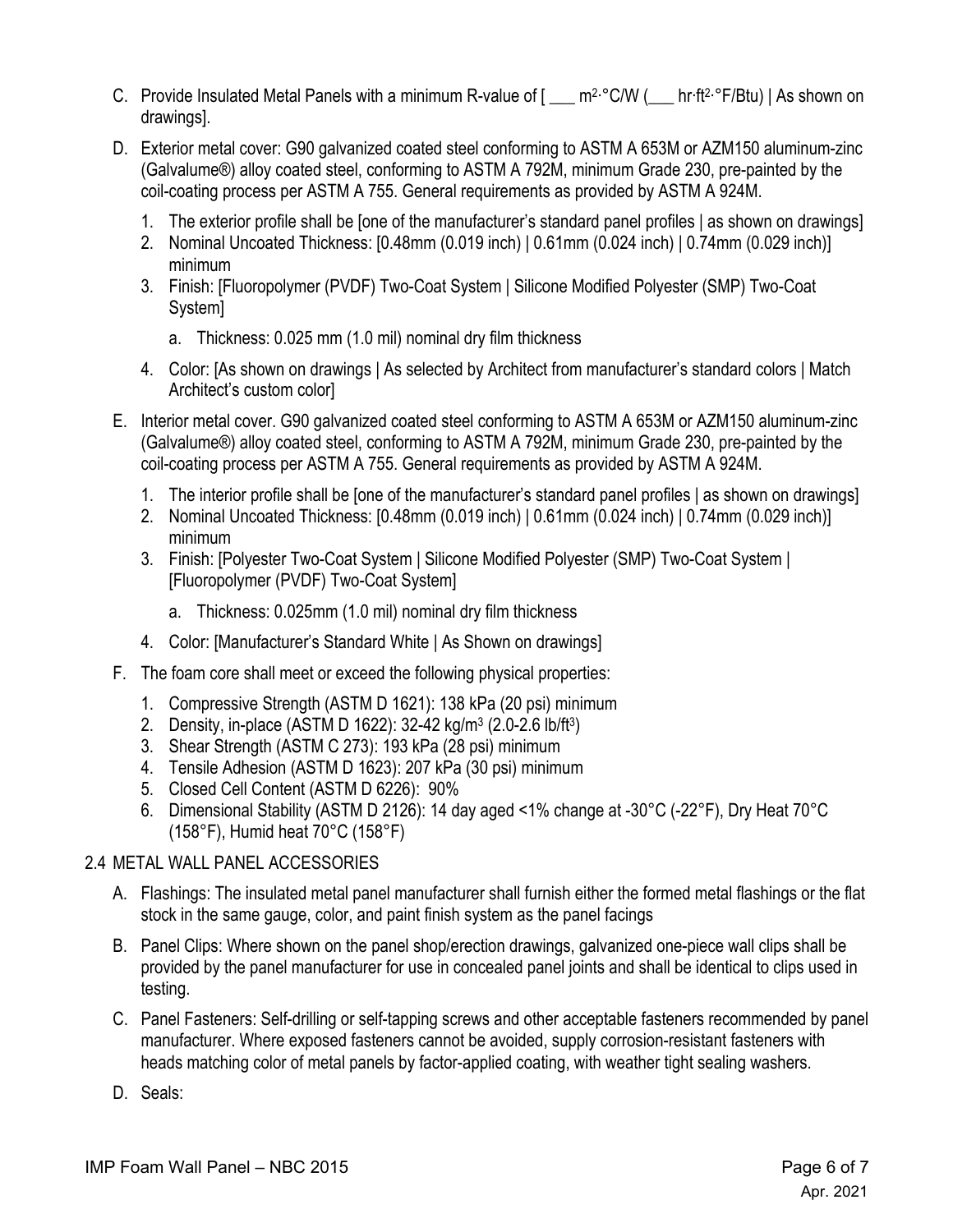- C. Provide Insulated Metal Panels with a minimum R-value of  $\lceil \frac{m^2}{c}C/W \rceil$  hr·ft<sup>2·°</sup>F/Btu) | As shown on drawings].
- D. Exterior metal cover: G90 galvanized coated steel conforming to ASTM A 653M or AZM150 aluminum-zinc (Galvalume®) alloy coated steel, conforming to ASTM A 792M, minimum Grade 230, pre-painted by the coil-coating process per ASTM A 755. General requirements as provided by ASTM A 924M.
	- 1. The exterior profile shall be [one of the manufacturer's standard panel profiles | as shown on drawings]
	- 2. Nominal Uncoated Thickness: [0.48mm (0.019 inch) | 0.61mm (0.024 inch) | 0.74mm (0.029 inch)] minimum
	- 3. Finish: [Fluoropolymer (PVDF) Two-Coat System | Silicone Modified Polyester (SMP) Two-Coat System]
		- a. Thickness: 0.025 mm (1.0 mil) nominal dry film thickness
	- 4. Color: [As shown on drawings | As selected by Architect from manufacturer's standard colors | Match Architect's custom color]
- E. Interior metal cover. G90 galvanized coated steel conforming to ASTM A 653M or AZM150 aluminum-zinc (Galvalume®) alloy coated steel, conforming to ASTM A 792M, minimum Grade 230, pre-painted by the coil-coating process per ASTM A 755. General requirements as provided by ASTM A 924M.
	- 1. The interior profile shall be [one of the manufacturer's standard panel profiles | as shown on drawings]
	- 2. Nominal Uncoated Thickness: [0.48mm (0.019 inch) | 0.61mm (0.024 inch) | 0.74mm (0.029 inch)] minimum
	- 3. Finish: [Polyester Two-Coat System | Silicone Modified Polyester (SMP) Two-Coat System | [Fluoropolymer (PVDF) Two-Coat System]
		- a. Thickness: 0.025mm (1.0 mil) nominal dry film thickness
	- 4. Color: [Manufacturer's Standard White | As Shown on drawings]
- F. The foam core shall meet or exceed the following physical properties:
	- 1. Compressive Strength (ASTM D 1621): 138 kPa (20 psi) minimum
	- 2. Density, in-place (ASTM D 1622): 32-42 kg/m3 (2.0-2.6 lb/ft3)
	- 3. Shear Strength (ASTM C 273): 193 kPa (28 psi) minimum
	- 4. Tensile Adhesion (ASTM D 1623): 207 kPa (30 psi) minimum
	- 5. Closed Cell Content (ASTM D 6226): 90%
	- 6. Dimensional Stability (ASTM D 2126): 14 day aged <1% change at -30°C (-22°F), Dry Heat 70°C (158°F), Humid heat 70°C (158°F)

# 2.4 METAL WALL PANEL ACCESSORIES

- A. Flashings: The insulated metal panel manufacturer shall furnish either the formed metal flashings or the flat stock in the same gauge, color, and paint finish system as the panel facings
- B. Panel Clips: Where shown on the panel shop/erection drawings, galvanized one-piece wall clips shall be provided by the panel manufacturer for use in concealed panel joints and shall be identical to clips used in testing.
- C. Panel Fasteners: Self-drilling or self-tapping screws and other acceptable fasteners recommended by panel manufacturer. Where exposed fasteners cannot be avoided, supply corrosion-resistant fasteners with heads matching color of metal panels by factor-applied coating, with weather tight sealing washers.
- D. Seals: